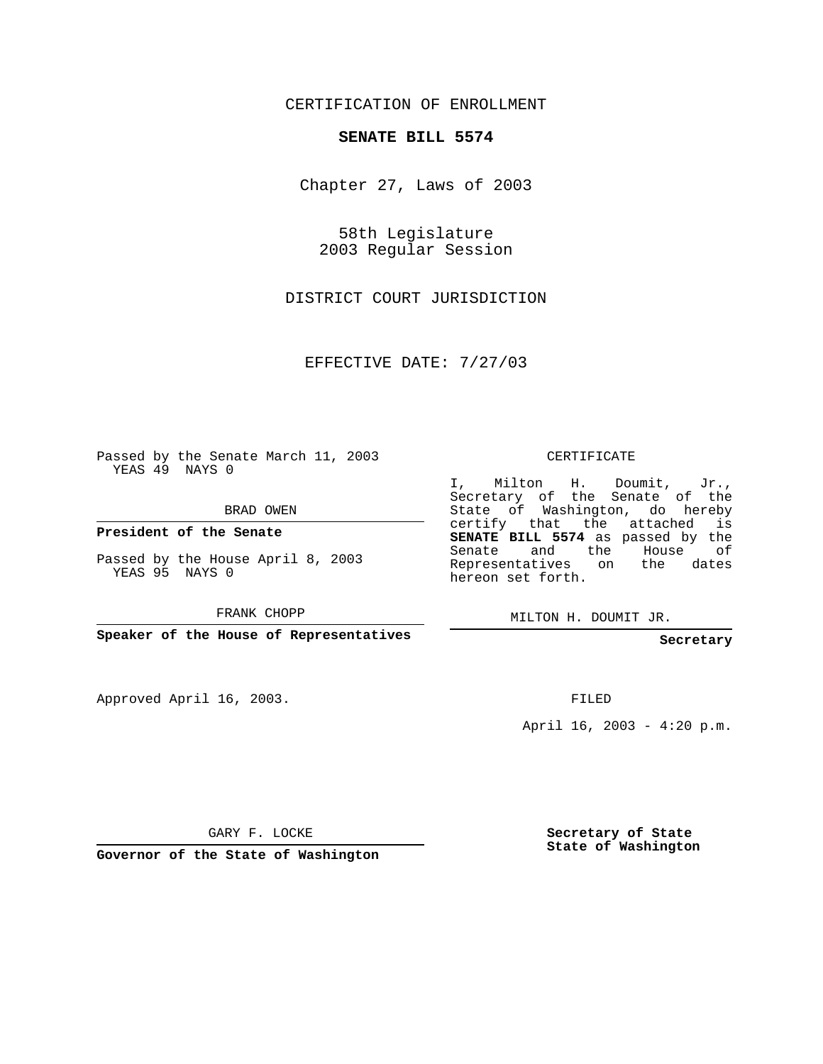CERTIFICATION OF ENROLLMENT

## **SENATE BILL 5574**

Chapter 27, Laws of 2003

58th Legislature 2003 Regular Session

DISTRICT COURT JURISDICTION

EFFECTIVE DATE: 7/27/03

Passed by the Senate March 11, 2003 YEAS 49 NAYS 0

BRAD OWEN

**President of the Senate**

Passed by the House April 8, 2003 YEAS 95 NAYS 0

FRANK CHOPP

**Speaker of the House of Representatives**

Approved April 16, 2003.

CERTIFICATE

I, Milton H. Doumit, Jr., Secretary of the Senate of the State of Washington, do hereby certify that the attached is **SENATE BILL 5574** as passed by the Senate and the House of Representatives on the dates hereon set forth.

MILTON H. DOUMIT JR.

**Secretary**

FILED

April 16, 2003 - 4:20 p.m.

GARY F. LOCKE

**Governor of the State of Washington**

**Secretary of State State of Washington**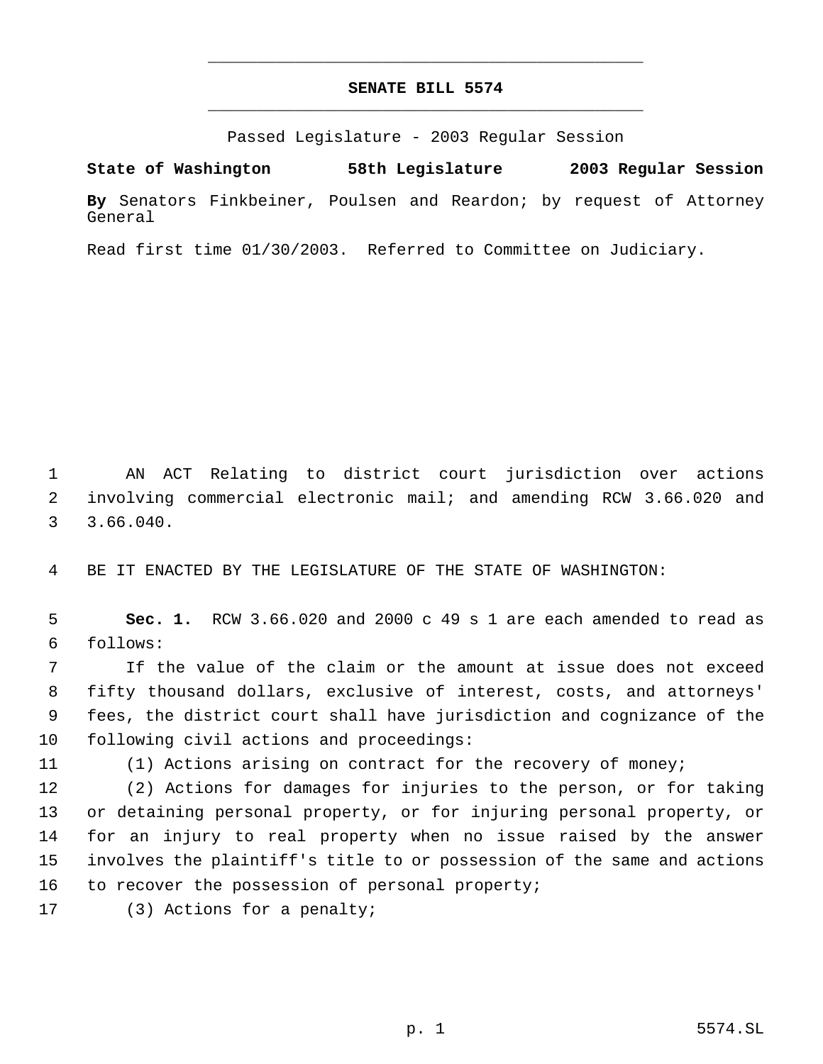## **SENATE BILL 5574** \_\_\_\_\_\_\_\_\_\_\_\_\_\_\_\_\_\_\_\_\_\_\_\_\_\_\_\_\_\_\_\_\_\_\_\_\_\_\_\_\_\_\_\_\_

\_\_\_\_\_\_\_\_\_\_\_\_\_\_\_\_\_\_\_\_\_\_\_\_\_\_\_\_\_\_\_\_\_\_\_\_\_\_\_\_\_\_\_\_\_

Passed Legislature - 2003 Regular Session

**State of Washington 58th Legislature 2003 Regular Session By** Senators Finkbeiner, Poulsen and Reardon; by request of Attorney General

Read first time 01/30/2003. Referred to Committee on Judiciary.

 AN ACT Relating to district court jurisdiction over actions involving commercial electronic mail; and amending RCW 3.66.020 and 3.66.040.

BE IT ENACTED BY THE LEGISLATURE OF THE STATE OF WASHINGTON:

 **Sec. 1.** RCW 3.66.020 and 2000 c 49 s 1 are each amended to read as follows:

 If the value of the claim or the amount at issue does not exceed fifty thousand dollars, exclusive of interest, costs, and attorneys' fees, the district court shall have jurisdiction and cognizance of the following civil actions and proceedings:

(1) Actions arising on contract for the recovery of money;

 (2) Actions for damages for injuries to the person, or for taking or detaining personal property, or for injuring personal property, or for an injury to real property when no issue raised by the answer involves the plaintiff's title to or possession of the same and actions 16 to recover the possession of personal property;

(3) Actions for a penalty;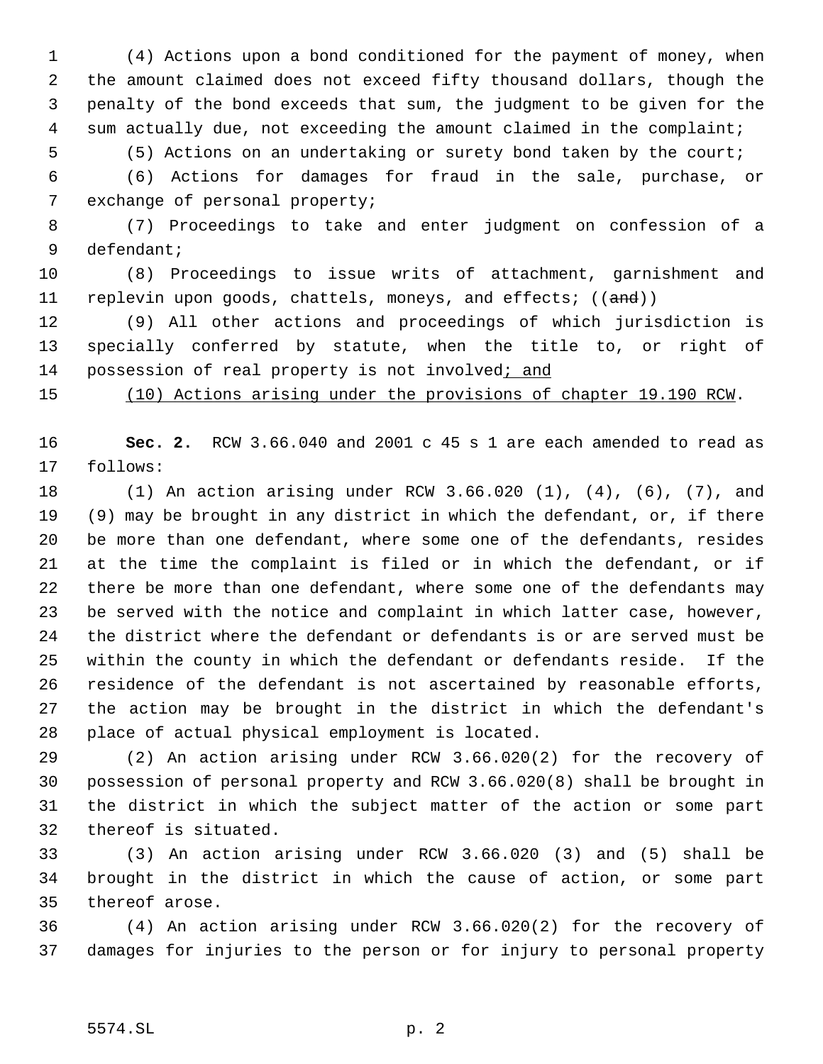(4) Actions upon a bond conditioned for the payment of money, when the amount claimed does not exceed fifty thousand dollars, though the penalty of the bond exceeds that sum, the judgment to be given for the 4 sum actually due, not exceeding the amount claimed in the complaint;

(5) Actions on an undertaking or surety bond taken by the court;

 (6) Actions for damages for fraud in the sale, purchase, or exchange of personal property;

 (7) Proceedings to take and enter judgment on confession of a defendant;

 (8) Proceedings to issue writs of attachment, garnishment and 11 replevin upon goods, chattels, moneys, and effects; ((and))

 (9) All other actions and proceedings of which jurisdiction is specially conferred by statute, when the title to, or right of 14 possession of real property is not involved; and

(10) Actions arising under the provisions of chapter 19.190 RCW.

 **Sec. 2.** RCW 3.66.040 and 2001 c 45 s 1 are each amended to read as follows:

 (1) An action arising under RCW 3.66.020 (1), (4), (6), (7), and (9) may be brought in any district in which the defendant, or, if there be more than one defendant, where some one of the defendants, resides at the time the complaint is filed or in which the defendant, or if there be more than one defendant, where some one of the defendants may be served with the notice and complaint in which latter case, however, the district where the defendant or defendants is or are served must be within the county in which the defendant or defendants reside. If the residence of the defendant is not ascertained by reasonable efforts, the action may be brought in the district in which the defendant's place of actual physical employment is located.

 (2) An action arising under RCW 3.66.020(2) for the recovery of possession of personal property and RCW 3.66.020(8) shall be brought in the district in which the subject matter of the action or some part thereof is situated.

 (3) An action arising under RCW 3.66.020 (3) and (5) shall be brought in the district in which the cause of action, or some part thereof arose.

 (4) An action arising under RCW 3.66.020(2) for the recovery of damages for injuries to the person or for injury to personal property